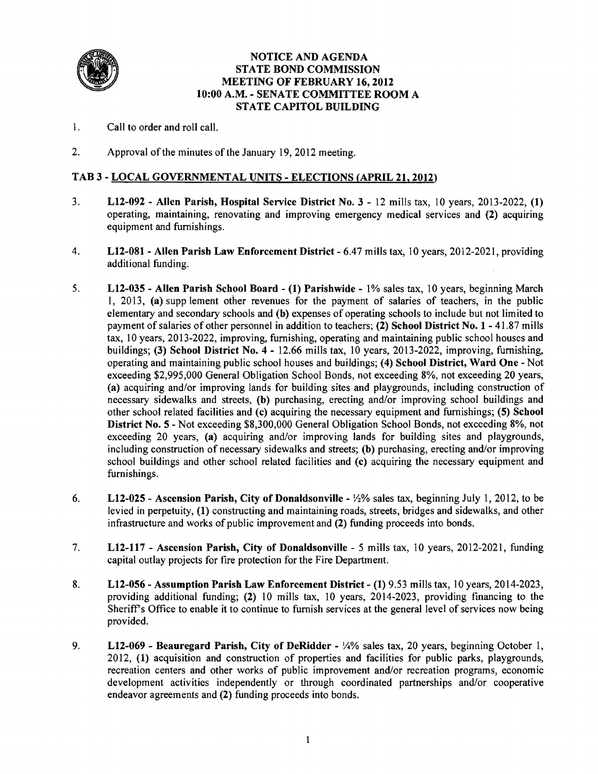

#### NOTICE AND AGENDA STATE BOND COMMISSION MEETING OF FEBRUARY 16, 2012 10:00 A.M. - SENATE COMMITTEE ROOM A STATE CAPITOL BUILDING

- 1. Call to order and roll call.
- 2. Approval of the minutes of the January 19, 2012 meeting.

# TAB 3 - LOCAL GOVERNMENTAL UNITS - ELECTIONS (APRIL 21. 2012)

- 3. L12-092 Allen Parish, Hospital Service District No.3 12 mills tax, 10 years, 2013-2022, (1) operating, maintaining, renovating and improving emergency medical services and (2) acquiring equipment and furnishings.
- 4. L12-081 Allen Parish Law Enforcement District 6.47 mills tax, 10 years, 2012-2021, providing additional funding.
- 5. L12-035 Allen Parish School Board (1) Parishwide 1% sales tax, 10 years, beginning March 1, 2013, (a) supp lement other revenues for the payment of salaries of teachers, in the public elementary and secondary schools and (b) expenses of operating schools to include but not limited to payment of salaries of other personnel in addition to teachers; (2) School District No.1 - 41.87 mills tax, 10 years, 2013-2022, improving, furnishing, operating and maintaining public school houses and buildings; (3) School District No.4 - 12.66 mills tax, 10 years, 2013-2022, improving, furnishing, operating and maintaining public school houses and buildings; (4) School District, Ward One - Not exceeding \$2,995,000 General Obligation School Bonds, not exceeding 8%, not exceeding 20 years, (a) acquiring and/or improving lands for building sites and playgrounds, including construction of necessary sidewalks and streets, (b) purchasing, erecting and/or improving school buildings and other school related facilities and (c) acquiring the necessary equipment and furnishings; (5) School District No.5 - Not exceeding \$8,300,000 General Obligation School Bonds, not exceeding 8%, not exceeding 20 years, (a) acquiring and/or improving lands for building sites and playgrounds, including construction of necessary sidewalks and streets; (b) purchasing, erecting and/or improving school buildings and other school related facilities and (c) acquiring the necessary equipment and furnishings.
- 6. L12-025 Ascension Parish, City of Donaldsonville  $\frac{1}{2}\%$  sales tax, beginning July 1, 2012, to be levied in perpetuity, (1) constructing and maintaining roads, streets, bridges and sidewalks, and other infrastructure and works of public improvement and (2) funding proceeds into bonds.
- 7. L12-1l7 Ascension Parish, City of Donaldsonville 5 mills tax, 10 years, 2012-2021, funding capital outlay projects for fire protection for the Fire Department.
- 8. L12-056 Assumption Parish Law Enforcement District (1) 9.53 mills tax, 10 years, 2014-2023, providing additional funding; (2) 10 mills tax, 10 years, 2014-2023, providing financing to the Sheriff's Office to enable it to continue to furnish services at the general level of services now being provided.
- 9. L12-069 Beauregard Parish, City of DeRidder  $\frac{1}{4}$ % sales tax, 20 years, beginning October 1, 2012, (1) acquisition and construction of properties and facilities for public parks, playgrounds, recreation centers and other works of public improvement and/or recreation programs, economic development activities independently or through coordinated partnerships and/or cooperative endeavor agreements and (2) funding proceeds into bonds.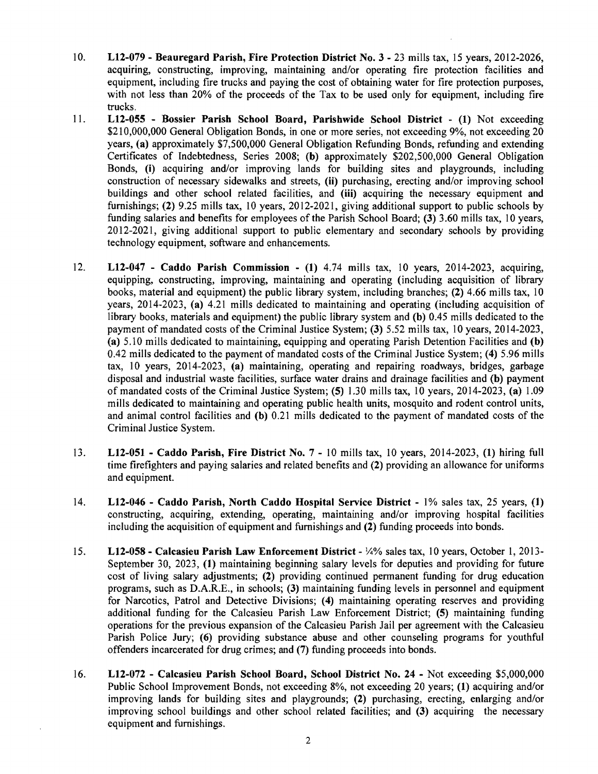- 10. L12-079 Beauregard Parish, Fire Protection District No.3 23 mills tax, 15 years, 2012-2026, acquiring, constructing, improving, maintaining and/or operating fire protection facilities and equipment, including fire trucks and paying the cost of obtaining water for fire protection purposes, with not less than 20% of the proceeds of the Tax to be used only for equipment, including fire trucks.
- 11. L12-055 Bossier Parish School Board, Parishwide School District (1) Not exceeding \$210,000,000 General Obligation Bonds, in one or more series, not exceeding 9%, not exceeding 20 years, (a) approximately \$7,500,000 General Obligation Refunding Bonds, refunding and extending Certificates of Indebtedness, Series 2008; (b) approximately \$202,500,000 General Obligation Bonds, (i) acquiring and/or improving lands for building sites and playgrounds, including construction of necessary sidewalks and streets, (ii) purchasing, erecting and/or improving school buildings and other school related facilities, and (iii) acquiring the necessary equipment and furnishings; (2) 9.25 mills tax, 10 years, 2012-2021, giving additional support to public schools by funding salaries and benefits for employees of the Parish School Board; (3) 3.60 mills tax, 10 years, 2012-2021, giving additional support to public elementary and secondary schools by providing technology equipment, software and enhancements.
- 12. L12-047 Caddo Parish Commission (1) 4.74 mills tax, 10 years, 2014-2023, acquiring, equipping, constructing, improving, maintaining and operating (including acquisition of library books, material and equipment) the public library system, including branches; (2) 4.66 mills tax, 10 years, 2014-2023, (a) 4.21 mills dedicated to maintaining and operating (including acquisition of library books, materials and equipment) the public library system and (b) 0.45 mills dedicated to the payment of mandated costs of the Criminal Justice System; (3) 5.52 mills tax, 10 years, 2014-2023, (a) 5.10 mills dedicated to maintaining, equipping and operating Parish Detention Facilities and (b) 0.42 mills dedicated to the payment of mandated costs of the Criminal Justice System; (4) 5.96 mills tax, 10 years, 2014-2023, (a) maintaining, operating and repairing roadways, bridges, garbage disposal and industrial waste facilities, surface water drains and drainage facilities and (b) payment of mandated costs of the Criminal Justice System; (5) 1.30 mills tax, 10 years, 2014-2023, (a) 1.09 mills dedicated to maintaining and operating public health units, mosquito and rodent control units, and animal control facilities and (b) 0.21 mills dedicated to the payment of mandated costs of the Criminal Justice System.
- 13. L12-051 Caddo Parish, Fire District No.7 10 mills tax, 10 years, 2014-2023, (I) hiring full time firefighters and paying salaries and related benefits and (2) providing an allowance for uniforms and equipment.
- 14. L12-046 Caddo Parish, North Caddo Hospital Service District 1% sales tax, 25 years, (I) constructing, acquiring, extending, operating, maintaining and/or improving hospital facilities including the acquisition of equipment and furnishings and (2) funding proceeds into bonds.
- 15. L12-058 Calcasieu Parish Law Enforcement District Y4% sales tax, 10 years, October 1,2013 September 30, 2023, (I) maintaining beginning salary levels for deputies and providing for future cost of living salary adjustments; (2) providing continued permanent funding for drug education programs, such as D.A.R.E., in schools; (3) maintaining funding levels in personnel and equipment for Narcotics, Patrol and Detective Divisions; (4) maintaining operating reserves and providing additional funding for the Calcasieu Parish Law Enforcement District; (5) maintaining funding operations for the previous expansion of the Calcasieu Parish Jail per agreement with the Calcasieu Parish Police Jury; (6) providing substance abuse and other counseling programs for youthful offenders incarcerated for drug crimes; and (7) funding proceeds into bonds.
- 16. LI2-072 Calcasieu Parish School Board, School District No. 24 Not exceeding \$5,000,000 Public School Improvement Bonds, not exceeding 8%, not exceeding 20 years; (1) acquiring and/or improving lands for building sites and playgrounds; (2) purchasing, erecting, enlarging and/or improving school buildings and other school related facilities; and (3) acquiring the necessary equipment and furnishings.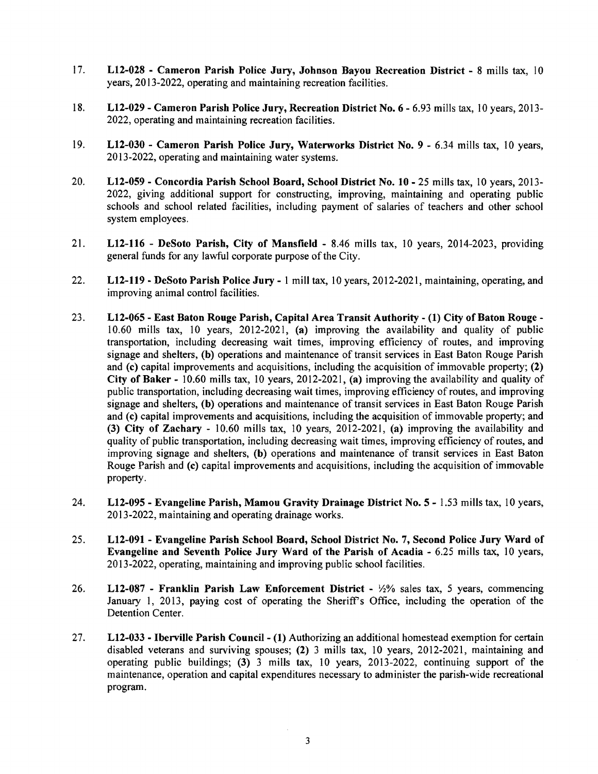- 17. L12-028 Cameron Parish Police Jury, Johnson Bayou Recreation District 8 mills tax, 10 years, 2013-2022, operating and maintaining recreation facilities.
- 18. L12-029 Cameron Parish Police Jury, Recreation District No. 6 6.93 mills tax, 10 years, 2013-2022, operating and maintaining recreation facilities.
- 19. L12-030 Cameron Parish Police Jury, Waterworks District No.9 6.34 mills tax, 10 years, 2013-2022, operating and maintaining water systems.
- 20. L12-059 Concordia Parish School Board, School District No. 10 25 mills tax, 10 years, 2013 2022, giving additional support for constructing, improving, maintaining and operating public schools and school related facilities, including payment of salaries of teachers and other school system employees.
- 21. L12-1l6 DeSoto Parish, City of Mansfield 8.46 mills tax, 10 years, 2014-2023, providing general funds for any lawful corporate purpose of the City.
- 22. L12-119 DeSoto Parish Police Jury 1 mill tax, 10 years, 2012-2021, maintaining, operating, and improving animal control facilities.
- 23. L12-065 East Baton Rouge Parish, Capital Area Transit Authority (1) City of Baton Rouge-10.60 mills tax, 10 years, 2012-2021, (a) improving the availability and quality of public transportation, including decreasing wait times, improving efficiency of routes, and improving signage and shelters, (b) operations and maintenance of transit services in East Baton Rouge Parish and (c) capital improvements and acquisitions, including the acquisition of immovable property; (2) City of Baker - 10.60 mills tax, 10 years, 2012-2021, (a) improving the availability and quality of public transportation, including decreasing wait times, improving efficiency of routes, and improving signage and shelters, (b) operations and maintenance of transit services in East Baton Rouge Parish and (c) capital improvements and acquisitions, including the acquisition of immovable property; and (3) City of Zachary - 10.60 mills tax, 10 years, 2012-2021, (a) improving the availability and quality of public transportation, including decreasing wait times, improving efficiency of routes, and improving signage and shelters, (b) operations and maintenance of transit services in East Baton Rouge Parish and (c) capital improvements and acquisitions, including the acquisition of immovable property.
- 24. L12-095 Evangeline Parish, Mamou Gravity Drainage District No.5 1.53 mills tax, 10 years, 2013-2022, maintaining and operating drainage works.
- 25. L12-091 Evangeline Parish School Board, School District No.7, Second Police Jury Ward of Evangeline and Seventh Police Jury Ward of the Parish of Acadia - 6.25 mills tax, 10 years, 2013-2022, operating, maintaining and improving public school facilities.
- 26. L12-087 Franklin Parish Law Enforcement District  $\frac{1}{2}\%$  sales tax, 5 years, commencing January 1, 2013, paying cost of operating the Sheriff's Office, including the operation of the Detention Center.
- 27. L12-033 Iberville Parish Council- (I) Authorizing an additional homestead exemption for certain disabled veterans and surviving spouses; (2) 3 mills tax, 10 years, 2012-2021, maintaining and operating public buildings; (3) 3 mills tax, 10 years, 2013-2022, continuing support of the maintenance, operation and capital expenditures necessary to administer the parish-wide recreational program.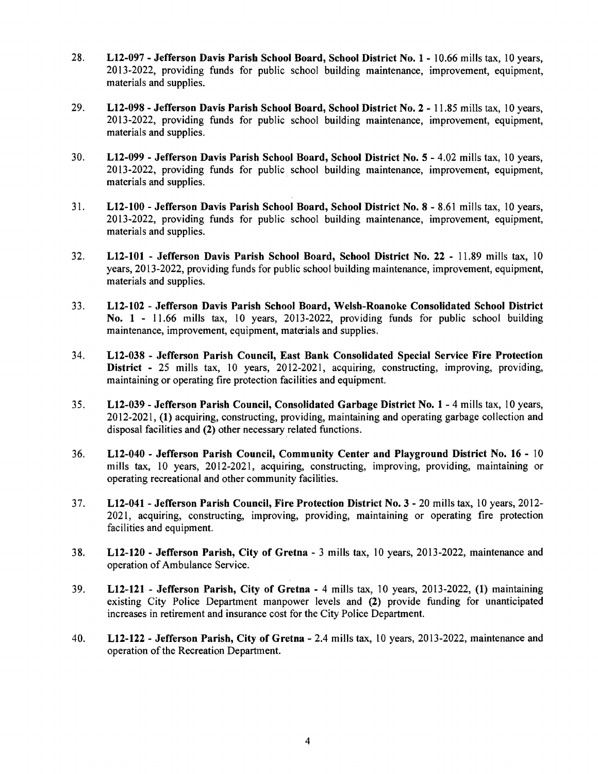- 28. L12-097 Jefferson Davis Parish School Board, School District No.1 10.66 mills tax, 10 years, 2013-2022, providing funds for public school building maintenance, improvement, equipment, materials and supplies.
- 29. L12-098 Jefferson Davis Parish School Board, School District No.2 11.85 mills tax, 10 years, 2013-2022, providing funds for public school building maintenance, improvement, equipment, materials and supplies.
- 30. L12-099 Jefferson Davis Parish School Board, School District No.5 4.02 mills tax, 10 years, 2013-2022, providing funds for public school building maintenance, improvement, equipment, materials and supplies.
- 31. LI2-IOO Jefferson Davis Parish School Board, School District No.8 8.61 mills tax, 10 years, 2013-2022, providing funds for public school building maintenance, improvement, equipment, materials and supplies.
- 32. L12-I01 Jefferson Davis Parish School Board, School District No. 22 11.89 mills tax, 10 years, 2013-2022, providing funds for public school building maintenance, improvement, equipment, materials and supplies.
- 33. L12-I02 Jefferson Davis Parish School Board, Welsh-Roanoke Consolidated School District No. 1 - 11.66 mills tax, 10 years, 2013-2022, providing funds for public school building maintenance, improvement, equipment, materials and supplies.
- 34. L12-038 Jefferson Parish Council, East Bank Consolidated Special Service Fire Protection District - 25 mills tax, 10 years, 2012-2021, acquiring, constructing, improving, providing, maintaining or operating fire protection facilities and equipment.
- 35. L12-039 Jefferson Parish Council, Consolidated Garbage District No.1 4 mills tax, 10 years, 2012-2021, (I) acquiring, constructing, providing, maintaining and operating garbage collection and disposal facilities and (2) other necessary related functions.
- 36. L12-040 Jefferson Parish Council, Community Center and Playground District No. 16 10 mills tax, 10 years, 2012-2021, acquiring, constructing, improving, providing, maintaining or operating recreational and other community facilities.
- 37. L12-041 Jefferson Parish Council, Fire Protection District No.3 20 mills tax, 10 years, 2012 2021, acquiring, constructing, improving, providing, maintaining or operating fire protection facilities and equipment.
- 38. L12-120 Jefferson Parish, City of Gretna 3 mills tax, 10 years, 2013-2022, maintenance and operation of Ambulance Service.
- 39. L12-121 Jefferson Parish, City of Gretna 4 mills tax, 10 years, 2013-2022, (I) maintaining existing City Police Department manpower levels and (2) provide funding for unanticipated increases in retirement and insurance cost for the City Police Department.
- 40. L12-122 Jefferson Parish, City of Gretna 2.4 mills tax, 10 years, 2013-2022, maintenance and operation of the Recreation Department.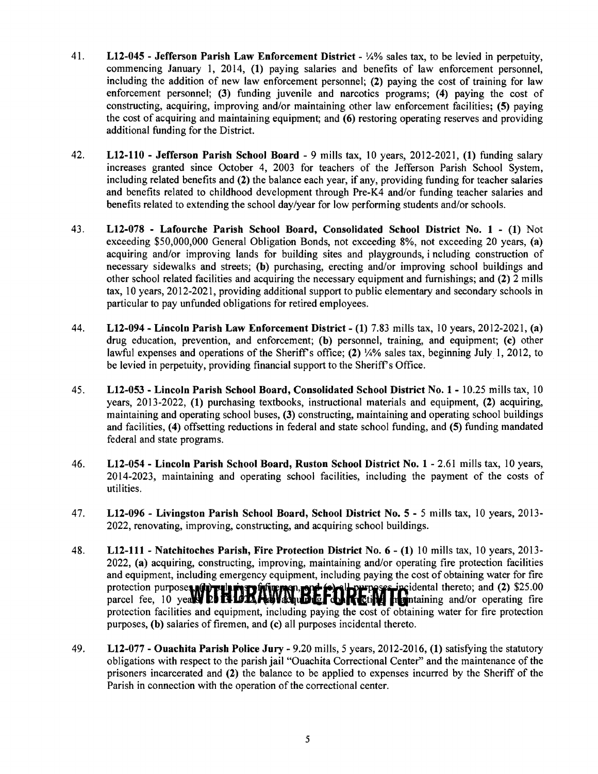- 41. L12-045 Jefferson Parish Law Enforcement District Y4% sales tax, to be levied in perpetuity, commencing January 1, 2014, (1) paying salaries and benefits of law enforcement personnel, including the addition of new law enforcement personnel; (2) paying the cost of training for law enforcement personnel; (3) funding juvenile and narcotics programs; (4) paying the cost of constructing, acquiring, improving and/or maintaining other law enforcement facilities; (5) paying the cost of acquiring and maintaining equipment; and (6) restoring operating reserves and providing additional funding for the District.
- 42. LI2-110 Jefferson Parish School Board 9 mills tax, 10 years, 2012-2021, (1) funding salary increases granted since October 4, 2003 for teachers of the Jefferson Parish School System, including related benefits and (2) the balance each year, if any, providing funding for teacher salaries and benefits related to childhood development through Pre-K4 and/or funding teacher salaries and benefits related to extending the school day/year for low performing students and/or schools.
- 43. L12-078 Lafourche Parish School Board, Consolidated School District No. 1 (1) Not exceeding \$50,000,000 General Obligation Bonds, not exceeding 8%, not exceeding 20 years, (a) acquiring and/or improving lands for building sites and playgrounds, including construction of necessary sidewalks and streets; (b) purchasing, erecting and/or improving school buildings and other school related facilities and acquiring the necessary equipment and furnishings; and (2) 2 mills tax, 10 years, 2012-2021, providing additional support to public elementary and secondary schools in particular to pay unfunded obligations for retired employees.
- 44. L12-094 Lincoln Parish Law Enforcement District (1) 7.83 mills tax, 10 years, 2012-2021, (a) drug education, prevention, and enforcement; (b) personnel, training, and equipment; (c) other lawful expenses and operations of the Sheriff's office; (2)  $\frac{1}{4}\%$  sales tax, beginning July 1, 2012, to be levied in perpetuity, providing financial support to the Sheriff's Office.
- 45. L12-053 Lincoln Parish School Board, Consolidated School District No.1 10.25 mills tax, 10 years, 2013-2022, (1) purchasing textbooks, instructional materials and equipment, (2) acquiring, maintaining and operating school buses, (3) constructing, maintaining and operating school buildings and facilities, (4) offsetting reductions in federal and state school funding, and (5) funding mandated federal and state programs.
- 46. L12-054 Lincoln Parish School Board, Ruston School District No.1 2.61 mills tax, 10 years, 2014-2023, maintaining and operating school facilities, including the payment of the costs of utilities.
- 47. L12-096 Livingston Parish School Board, School District No.5 5 mills tax, 10 years, 2013 2022, renovating, improving, constructing, and acquiring school buildings.
- 48. L12-111 Natchitoches Parish, Fire Protection District No.6 (1) 10 mills tax, 10 years, 2013 2022, (a) acquiring, constructing, improving, maintaining and/or operating fire protection facilities and equipment, including emergency equipment, including paying the cost of obtaining water for fire protection purpose**s, diprellet in Englishermen, exercit in the prepares incidental thereto; and (2). \$25.00 parcel fee, 10 years <b>the Hall Advisority of the Table Table in the intensity and/or operating fire** protection facilities and equipment, including paying the cost of obtaining water for fire protection purposes, (b) salaries of firemen, and (c) all purposes incidental thereto.
- 49. L12-077 Ouachita Parish Police Jury 9.20 mills, 5 years, 2012-2016, (1) satisfying the statutory obligations with respect to the parish jail "Ouachita Correctional Center" and the maintenance of the prisoners incarcerated and (2) the balance to be applied to expenses incurred by the Sheriff of the Parish in connection with the operation of the correctional center.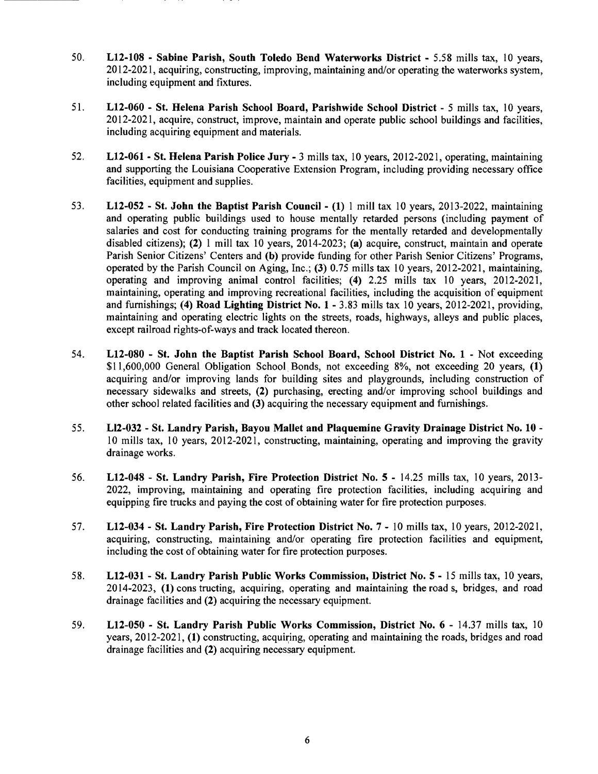- 50. LI2-IOS Sabine Parish, South Toledo Bend Waterworks District 5.58 mills tax, 10 years, 2012-2021, acquiring, constructing, improving, maintaining and/or operating the waterworks system, including equipment and fixtures.
- 51. L12-060 St. Helena Parish School Board, Parishwide School District 5 mills tax, 10 years, 2012-2021, acquire, construct, improve, maintain and operate public school buildings and facilities, including acquiring equipment and materials.
- 52. LI2-061- St. Helena Parish Police Jury 3 mills tax, 10 years, 2012-2021, operating, maintaining and supporting the Louisiana Cooperative Extension Program, including providing necessary office facilities, equipment and supplies.
- 53. L12-0S2 St. John the Baptist Parish Council (I) 1 mill tax 10 years, 2013-2022, maintaining and operating public buildings used to house mentally retarded persons (including payment of salaries and cost for conducting training programs for the mentally retarded and developmentally disabled citizens); (2) 1 mill tax 10 years,  $2014-2023$ ; (a) acquire, construct, maintain and operate Parish Senior Citizens' Centers and (b) provide funding for other Parish Senior Citizens' Programs, operated by the Parish Council on Aging, Inc.; (3) 0.75 mills tax 10 years, 2012-2021, maintaining, operating and improving animal control facilities; (4) 2.25 mills tax 10 years, 2012-2021, maintaining, operating and improving recreational facilities, including the acquisition of equipment and furnishings; (4) Road Lighting District No.1 - 3.83 mills tax 10 years, 2012-2021, providing, maintaining and operating electric lights on the streets, roads, highways, alleys and public places, except railroad rights-of-ways and track located thereon.
- 54. L12-0S0 St. John the Baptist Parish School Board, School District No. 1 Not exceeding \$11,600,000 General Obligation School Bonds, not exceeding 8%, not exceeding 20 years, (1) acquiring and/or improving lands for building sites and playgrounds, including construction of necessary sidewalks and streets, (2) purchasing, erecting and/or improving school buildings and other school related facilities and (3) acquiring the necessary equipment and furnishings.
- 55. Ll2-032 St. Landry Parish, Bayou Mallet and Plaquemine Gravity Drainage District No. 10 10 mills tax, 10 years, 2012-2021, constructing, maintaining, operating and improving the gravity drainage works.
- 56. L12-04S St. Landry Parish, Fire Protection District No. S 14.25 mills tax, 10 years, 2013 2022, improving, maintaining and operating fire protection facilities, including acquiring and equipping fire trucks and paying the cost of obtaining water for fire protection purposes.
- 57. L12-034 St. Landry Parish, Fire Protection District No.7 10 mills tax, 10 years, 2012-2021, acquiring, constructing, maintaining and/or operating fire protection facilities and equipment, including the cost of obtaining water for fire protection purposes.
- 58. L12-031 St. Landry Parish Public Works Commission, District No. S 15 mills tax, 10 years, 2014-2023, (1) cons tructing, acquiring, operating and maintaining the road s, bridges, and road drainage facilities and (2) acquiring the necessary equipment.
- 59. L12-0S0 St. Landry Parish Public Works Commission, District No.6 14.37 mills tax, 10 years,  $2012-2021$ , (1) constructing, acquiring, operating and maintaining the roads, bridges and road drainage facilities and (2) acquiring necessary equipment.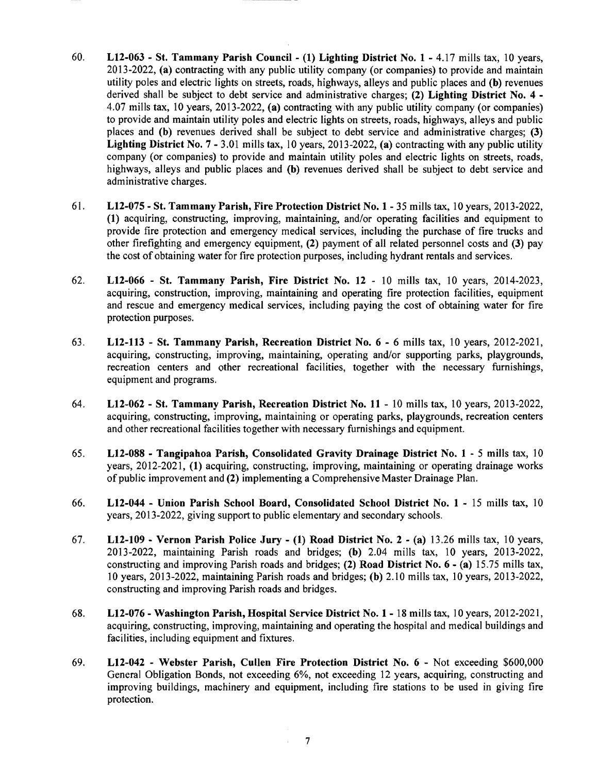- 60. L12-063 St. Tammany Parish Council (1) Lighting District No.1 4.17 mills tax, 10 years, 2013-2022, (a) contracting with any public utility company (or companies) to provide and maintain utility poles and electric lights on streets, roads, highways, alleys and public places and (b) revenues derived shall be subject to debt service and administrative charges; (2) Lighting District No. 4 -4.07 mills tax, 10 years, 2013-2022, (a) contracting with any public utility company (or companies) to provide and maintain utility poles and electric lights on streets, roads, highways, alleys and public places and (b) revenues derived shall be subject to debt service and administrative charges; (3) Lighting District No.7 - 3.01 mills tax, 10 years, 2013-2022, (a) contracting with any public utility company (or companies) to provide and maintain utility poles and electric lights on streets, roads, highways, alleys and public places and (b) revenues derived shall be subject to debt service and administrative charges.
- 61. L12-075 St. Tammany Parish, Fire Protection District No.1 35 mills tax, 10 years, 2013-2022, (1) acquiring, constructing, improving, maintaining, and/or operating facilities and equipment to provide fire protection and emergency medical services, including the purchase of fire trucks and other firefighting and emergency equipment, (2) payment of all related personnel costs and (3) pay the cost of obtaining water for fire protection purposes, including hydrant rentals and services.
- 62. L12-066 St. Tammany Parish, Fire District No. 12 10 mills tax, 10 years, 2014·2023, acquiring, construction, improving, maintaining and operating fire protection facilities, equipment and rescue and emergency medical services, including paying the cost of obtaining water for fire protection purposes.
- 63. L12-113 St. Tammany Parish, Recreation District No.6 6 mills tax, 10 years, 2012-2021, acquiring, constructing, improving, maintaining, operating and/or supporting parks, playgrounds, recreation centers and other recreational facilities, together with the necessary furnishings, equipment and programs.
- 64. L12-062 St. Tammany Parish, Recreation District No. 11 10 mills tax, 10 years, 2013-2022, acquiring, constructing, improving, maintaining or operating parks, playgrounds, recreation centers and other recreational facilities together with necessary furnishings and equipment.
- 65. L12-088 Tangipahoa Parish, Consolidated Gravity Drainage District No. 1 5 mills tax, 10 years, 2012-2021, (1) acquiring, constructing, improving, maintaining or operating drainage works of public improvement and (2) implementing a Comprehensive Master Drainage Plan.
- 66. L12-044 Union Parish School Board, Consolidated School District No.1 15 mills tax, 10 years, 2013-2022, giving support to public elementary and secondary schools.
- 67. L12-109 Vernon Parish Police Jury (1) Road District No. 2 (a) 13.26 mills tax, 10 years, 2013-2022, maintaining Parish roads and bridges; (b) 2.04 mills tax, 10 years, 2013-2022, constructing and improving Parish roads and bridges; (2) Road District No.6 - (a) 15.75 mills tax, 10 years, 2013-2022, maintaining Parish roads and bridges; (b) 2.10 mills tax, 10 years, 2013-2022, constructing and improving Parish roads and bridges.
- 68. L12-076 Washington Parish, Hospital Service District No. 1- 18 mills tax, 10 years, 2012-2021, acquiring, constructing, improving, maintaining and operating the hospital and medical buildings and facilities, including equipment and fixtures.
- 69. L12-042 Webster Parish, Cullen Fire Protection District No.6 Not exceeding \$600,000 General Obligation Bonds, not exceeding 6%, not exceeding 12 years, acquiring, constructing and improving buildings, machinery and equipment, including fire stations to be used in giving fire protection.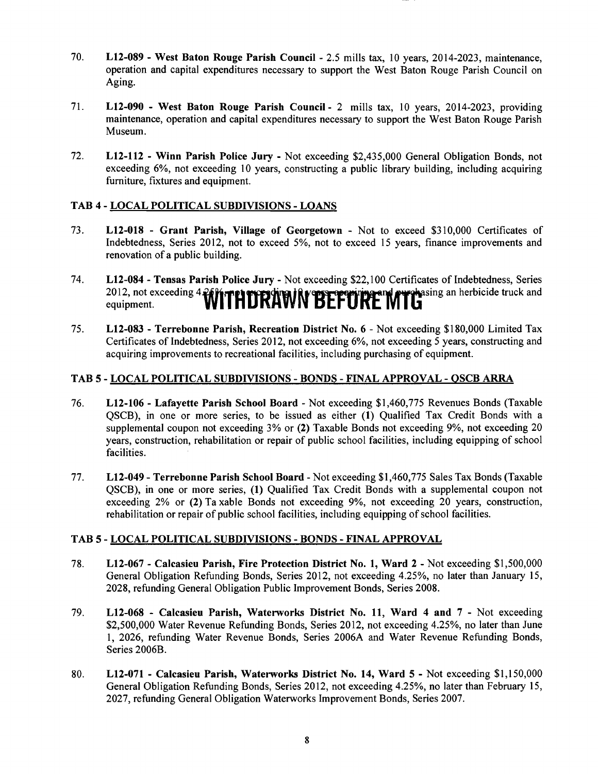- 70. L12-089 West Baton Rouge Parish Council 2.5 mills tax, 10 years, 2014-2023, maintenance, operation and capital expenditures necessary to support the West Baton Rouge Parish Council on Aging.
- 71. L12-090 West Baton Rouge Parish Council- 2 mills tax, 10 years, 2014-2023, providing maintenance, operation and capital expenditures necessary to support the West Baton Rouge Parish Museum.
- 72. L12-112 Winn Parish Police Jury Not exceeding \$2,435,000 General Obligation Bonds, not exceeding 6%, not exceeding 10 years, constructing a public library building, including acquiring furniture, fixtures and equipment.

# TAB 4 - LOCAL POLITICAL SUBDIVISIONS - LOANS

- 73. L12-018 Grant Parish, Village of Georgetown Not to exceed \$310,000 Certificates of Indebtedness, Series 2012, not to exceed 5%, not to exceed 15 years, finance improvements and renovation of a public building.
- 74. L12-084 Tensas Parish Police Jury Not exceeding \$22,100 Certificates of Indebtedness, Series 2012, not exceeding 4. **WITHDRAWN BEFURE MTG**asing an herbicide truck and equipment.
- 75. L12-083 Terrebonne Parish, Recreation District No.6 Not exceeding \$180,000 Limited Tax Certificates of Indebtedness, Series 2012, not exceeding 6%, not exceeding 5 years, constructing and acquiring improvements to recreational facilities, including purchasing of equipment.

# TAB 5 - LOCAL POLITICAL SUBDIVISIONS - BONDS - FINAL APPROVAL - QSCB ARRA

- 76. L12-I06 Lafayette Parish School Board Not exceeding \$1,460,775 Revenues Bonds (Taxable QSCB), in one or more series, to be issued as either (I) Qualified Tax Credit Bonds with a supplemental coupon not exceeding 3% or (2) Taxable Bonds not exceeding 9%, not exceeding 20 years, construction, rehabilitation or repair of public school facilities, including equipping of school facilities.
- 77. L12-049 Terrebonne Parish School Board Not exceeding \$1,460,775 Sales Tax Bonds (Taxable QSCB), in one or more series, (I) Qualified Tax Credit Bonds with a supplemental coupon not exceeding 2% or (2) Ta xable Bonds not exceeding 9%, not exceeding 20 years, construction, rehabilitation or repair of public school facilities, including equipping of school facilities.

#### TAB 5 - LOCAL POLITICAL SUBDIVISIONS - BONDS - FINAL APPROVAL

- 78. L12-067 Calcasieu Parish, Fire Protection District No. I, Ward 2 Not exceeding \$1,500,000 General Obligation Refunding Bonds, Series 2012, not exceeding 4.25%, no later than January 15, 2028, refunding General Obligation Public Improvement Bonds, Series 2008.
- 79. L12-068 Calcasieu Parish, Waterworks District No. 11, Ward 4 and 7 Not exceeding \$2,500,000 Water Revenue Refunding Bonds, Series 2012, not exceeding 4.25%, no later than June 1, 2026, refunding Water Revenue Bonds, Series 2006A and Water Revenue Refunding Bonds, Series 2006B.
- 80. L12-071 Calcasieu Parish, Waterworks District No. 14, Ward 5 Not exceeding \$1,150,000 General Obligation Refunding Bonds, Series 2012, not exceeding 4.25%, no later than February 15, 2027, refunding General Obligation Waterworks Improvement Bonds, Series 2007.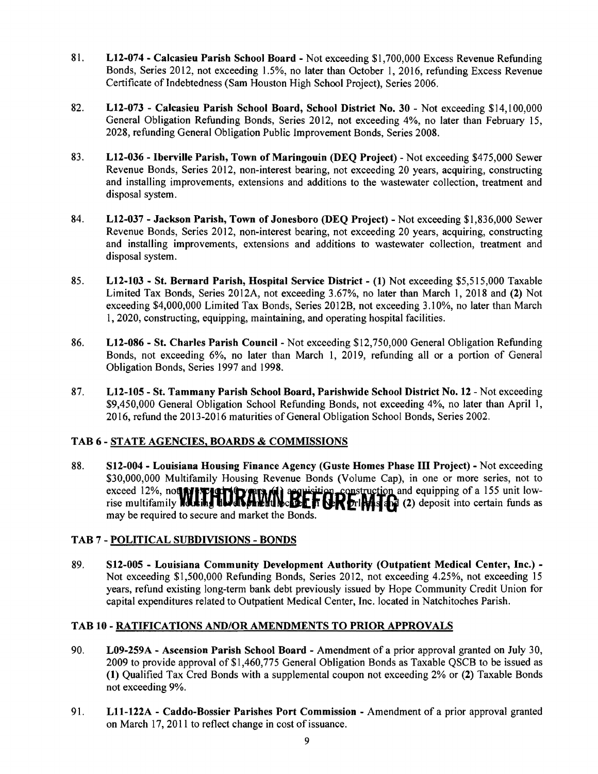- 81. L12-074 Calcasieu Parish School Board Not exceeding \$1,700,000 Excess Revenue Refunding Bonds, Series 2012, not exceeding 1.5%, no later than October I, 2016, refunding Excess Revenue Certificate of Indebtedness (Sam Houston High School Project), Series 2006.
- 82. L12-073 Calcasieu Parish School Board, School District No. 30 Not exceeding \$14,100,000 General Obligation Refunding Bonds, Series 2012, not exceeding 4%, no later than February 15, 2028, refunding General Obligation Public Improvement Bonds, Series 2008.
- 83. L12-036 Iberville Parish, Town of Maringouin (DEQ Project) Not exceeding \$475,000 Sewer Revenue Bonds, Series 2012, non-interest bearing, not exceeding 20 years, acquiring, constructing and installing improvements, extensions and additions to the wastewater collection, treatment and disposal system.
- 84. L12-037 Jackson Parish, Town of Jonesboro (DEQ Project) Not exceeding \$1,836,000 Sewer Revenue Bonds, Series 2012, non-interest bearing, not exceeding 20 years, acquiring, constructing and installing improvements, extensions and additions to wastewater collection, treatment and disposal system.
- 85. L12-103 St. Bernard Parish, Hospital Service District (1) Not exceeding \$5,515,000 Taxable Limited Tax Bonds, Series 2012A, not exceeding 3.67%, no later than March 1,2018 and (2) Not exceeding \$4,000,000 Limited Tax Bonds, Series 2012B, not exceeding 3.10%, no later than March 1, 2020, constructing, equipping, maintaining, and operating hospital facilities.
- 86. L12-086 St. Charles Parish Council Not exceeding \$12,750,000 General Obligation Refunding Bonds, not exceeding 6%, no later than March 1, 2019, refunding all or a portion of General Obligation Bonds, Series 1997 and 1998.
- 87. L12-105 St. Tammany Parish School Board, Parishwide School District No. 12 Not exceeding \$9,450,000 General Obligation School Refunding Bonds, not exceeding 4%, no later than April 1, 2016, refund the 2013-2016 maturities of General Obligation School Bonds, Series 2002.

# TAB 6 - STATE AGENCIES, BOARDS & COMMISSIONS

88. S12-004 - Louisiana Housing Finance Agency (Guste Homes Phase III Project) - Not exceeding \$30,000,000 Multifamily Housing Revenue Bonds (Volume Cap), in one or more series, not to exceed 12%, not **MIT 1411 RATH fixit for experimental construction** and equipping of a 155 unit low-<br>rise multifamily **lousing the axis and local fixit of Cilia of** (2) deposit into certain funds as may be required to secure and market the Bonds.

# TAB 7 - POLITICAL SUBDIVISIONS - BONDS

89. S12-005 - Louisiana Community Development Authority (Outpatient Medical Center, Inc.) -Not exceeding \$1,500,000 Refunding Bonds, Series 2012, not exceeding 4.25%, not exceeding 15 years, refund existing long-term bank debt previously issued by Hope Community Credit Union for capital expenditures related to Outpatient Medical Center, Inc. located in Natchitoches Parish.

#### TAB 10 - RATIFICATIONS AND/OR AMENDMENTS TO PRIOR APPROVALS

- 90. L09-259A Ascension Parish School Board Amendment of a prior approval granted on July 30, 2009 to provide approval of \$1,460,775 General Obligation Bonds as Taxable QSCB to be issued as (1) Qualified Tax Cred Bonds with a supplemental coupon not exceeding 2% or (2) Taxable Bonds not exceeding 9%.
- 91. Lll-122A Caddo-Bossier Parishes Port Commission Amendment of a prior approval granted on March 17, 2011 to reflect change in cost of issuance.